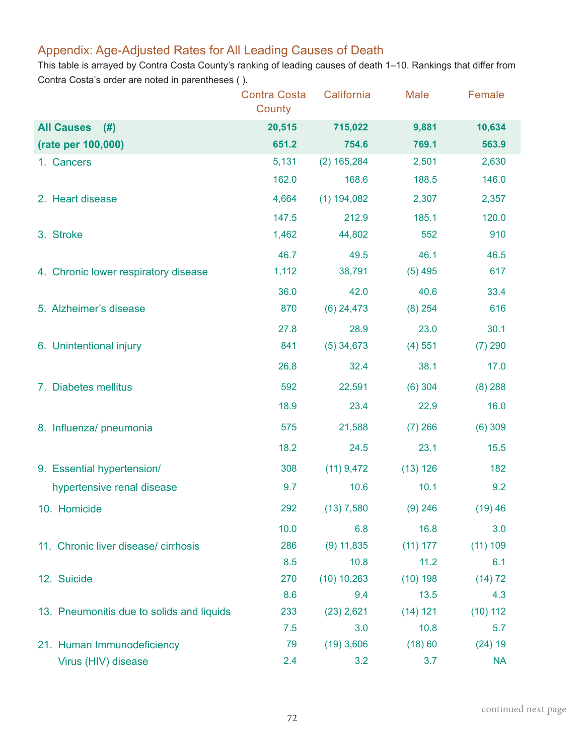## Appendix: Age-Adjusted Rates for All Leading Causes of Death

This table is arrayed by Contra Costa County's ranking of leading causes of death 1–10. Rankings that differ from Contra Costa's order are noted in parentheses ( ).

|                                           | <b>Contra Costa</b><br>County | California   | <b>Male</b> | Female    |
|-------------------------------------------|-------------------------------|--------------|-------------|-----------|
| <b>All Causes</b><br>(# )                 | 20,515                        | 715,022      | 9,881       | 10,634    |
| (rate per 100,000)                        | 651.2                         | 754.6        | 769.1       | 563.9     |
| 1. Cancers                                | 5,131                         | (2) 165,284  | 2,501       | 2,630     |
|                                           | 162.0                         | 168.6        | 188.5       | 146.0     |
| 2. Heart disease                          | 4,664                         | (1) 194,082  | 2,307       | 2,357     |
|                                           | 147.5                         | 212.9        | 185.1       | 120.0     |
| 3. Stroke                                 | 1,462                         | 44,802       | 552         | 910       |
|                                           | 46.7                          | 49.5         | 46.1        | 46.5      |
| 4. Chronic lower respiratory disease      | 1,112                         | 38,791       | $(5)$ 495   | 617       |
|                                           | 36.0                          | 42.0         | 40.6        | 33.4      |
| 5. Alzheimer's disease                    | 870                           | $(6)$ 24,473 | $(8)$ 254   | 616       |
|                                           | 27.8                          | 28.9         | 23.0        | 30.1      |
| 6. Unintentional injury                   | 841                           | $(5)$ 34,673 | (4) 551     | $(7)$ 290 |
|                                           | 26.8                          | 32.4         | 38.1        | 17.0      |
| 7. Diabetes mellitus                      | 592                           | 22,591       | $(6)$ 304   | $(8)$ 288 |
|                                           | 18.9                          | 23.4         | 22.9        | 16.0      |
| 8. Influenza/ pneumonia                   | 575                           | 21,588       | $(7)$ 266   | (6)309    |
|                                           | 18.2                          | 24.5         | 23.1        | 15.5      |
| 9. Essential hypertension/                | 308                           | $(11)$ 9,472 | (13) 126    | 182       |
| hypertensive renal disease                | 9.7                           | 10.6         | 10.1        | 9.2       |
| 10. Homicide                              | 292                           | $(13)$ 7,580 | $(9)$ 246   | (19)46    |
|                                           | 10.0                          | 6.8          | 16.8        | 3.0       |
| 11. Chronic liver disease/cirrhosis       | 286                           | $(9)$ 11,835 | (11) 177    | (11) 109  |
|                                           | 8.5                           | 10.8         | 11.2        | 6.1       |
| 12. Suicide                               | 270                           | (10) 10,263  | (10) 198    | (14) 72   |
|                                           | 8.6                           | 9.4          | 13.5        | 4.3       |
| 13. Pneumonitis due to solids and liquids | 233                           | $(23)$ 2,621 | (14) 121    | (10) 112  |
|                                           | 7.5                           | 3.0          | 10.8        | 5.7       |
| 21. Human Immunodeficiency                | 79                            | $(19)$ 3,606 | (18) 60     | $(24)$ 19 |
| Virus (HIV) disease                       | 2.4                           | 3.2          | 3.7         | <b>NA</b> |